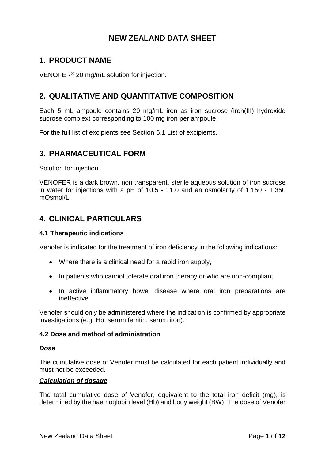# **NEW ZEALAND DATA SHEET**

# **1. PRODUCT NAME**

VENOFER® 20 mg/mL solution for injection.

# **2. QUALITATIVE AND QUANTITATIVE COMPOSITION**

Each 5 mL ampoule contains 20 mg/mL iron as iron sucrose (iron(III) hydroxide sucrose complex) corresponding to 100 mg iron per ampoule.

For the full list of excipients see Section [6.1](#page-10-0) [List of excipients.](#page-10-0)

## **3. PHARMACEUTICAL FORM**

Solution for injection.

VENOFER is a dark brown, non transparent, sterile aqueous solution of iron sucrose in water for injections with a pH of 10.5 - 11.0 and an osmolarity of 1,150 - 1,350 mOsmol/L.

## **4. CLINICAL PARTICULARS**

#### **4.1 Therapeutic indications**

Venofer is indicated for the treatment of iron deficiency in the following indications:

- Where there is a clinical need for a rapid iron supply,
- In patients who cannot tolerate oral iron therapy or who are non-compliant,
- In active inflammatory bowel disease where oral iron preparations are ineffective.

Venofer should only be administered where the indication is confirmed by appropriate investigations (e.g. Hb, serum ferritin, serum iron).

#### **4.2 Dose and method of administration**

#### *Dose*

The cumulative dose of Venofer must be calculated for each patient individually and must not be exceeded.

#### *Calculation of dosage*

The total cumulative dose of Venofer, equivalent to the total iron deficit (mg), is determined by the haemoglobin level (Hb) and body weight (BW). The dose of Venofer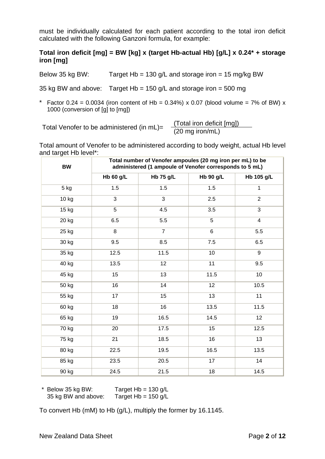must be individually calculated for each patient according to the total iron deficit calculated with the following Ganzoni formula, for example:

## **Total iron deficit [mg] = BW [kg] x (target Hb-actual Hb) [g/L] x 0.24\* + storage iron [mg]**

Below 35 kg BW: Target Hb = 130 g/L and storage iron = 15 mg/kg BW

35 kg BW and above: Target Hb = 150 g/L and storage iron = 500 mg

\* Factor 0.24 = 0.0034 (iron content of Hb = 0.34%) x 0.07 (blood volume = 7% of BW) x 1000 (conversion of [g] to [mg])

Total Venofer to be administered (in  $mL$ )= (Total iron deficit [mg])<br>(20 mg iron/mL)

Total amount of Venofer to be administered according to body weight, actual Hb level and target Hb level\*:

| ◡<br>BW | Total number of Venofer ampoules (20 mg iron per mL) to be<br>administered (1 ampoule of Venofer corresponds to 5 mL) |                  |                  |                |
|---------|-----------------------------------------------------------------------------------------------------------------------|------------------|------------------|----------------|
|         | <b>Hb 60 g/L</b>                                                                                                      | <b>Hb 75 g/L</b> | <b>Hb 90 g/L</b> | Hb 105 g/L     |
| 5 kg    | 1.5                                                                                                                   | 1.5              | 1.5              | $\mathbf{1}$   |
| 10 kg   | 3                                                                                                                     | 3                | 2.5              | $\overline{2}$ |
| 15 kg   | 5                                                                                                                     | 4.5              | 3.5              | 3              |
| 20 kg   | 6.5                                                                                                                   | 5.5              | $\overline{5}$   | $\overline{4}$ |
| 25 kg   | 8                                                                                                                     | $\overline{7}$   | 6                | 5.5            |
| 30 kg   | 9.5                                                                                                                   | 8.5              | 7.5              | 6.5            |
| 35 kg   | 12.5                                                                                                                  | 11.5             | 10               | 9              |
| 40 kg   | 13.5                                                                                                                  | 12               | 11               | 9.5            |
| 45 kg   | 15                                                                                                                    | 13               | 11.5             | 10             |
| 50 kg   | 16                                                                                                                    | 14               | 12               | 10.5           |
| 55 kg   | 17                                                                                                                    | 15               | 13               | 11             |
| 60 kg   | 18                                                                                                                    | 16               | 13.5             | 11.5           |
| 65 kg   | 19                                                                                                                    | 16.5             | 14.5             | 12             |
| 70 kg   | 20                                                                                                                    | 17.5             | 15               | 12.5           |
| 75 kg   | 21                                                                                                                    | 18.5             | 16               | 13             |
| 80 kg   | 22.5                                                                                                                  | 19.5             | 16.5             | 13.5           |
| 85 kg   | 23.5                                                                                                                  | 20.5             | 17               | 14             |
| 90 kg   | 24.5                                                                                                                  | 21.5             | 18               | 14.5           |

 $*$  Below 35 kg BW: Target Hb = 130 g/L 35 kg BW and above: Target  $Hb = 150$  g/L

To convert Hb (mM) to Hb (g/L), multiply the former by 16.1145.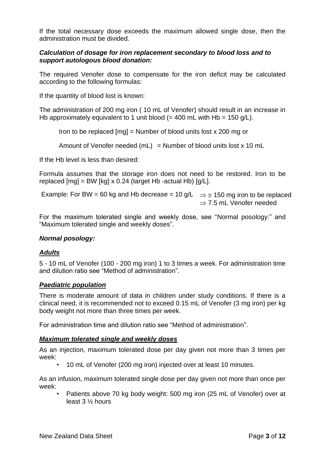If the total necessary dose exceeds the maximum allowed single dose, then the administration must be divided.

## *Calculation of dosage for iron replacement secondary to blood loss and to support autologous blood donation:*

The required Venofer dose to compensate for the iron deficit may be calculated according to the following formulas:

If the quantity of blood lost is known:

The administration of 200 mg iron ( 10 mL of Venofer) should result in an increase in Hb approximately equivalent to 1 unit blood (= 400 mL with Hb = 150 g/L).

Iron to be replaced  $[mal = Number of blood units lost x 200 ma or]$ 

Amount of Venofer needed (mL) = Number of blood units lost  $x$  10 mL

If the Hb level is less than desired:

Formula assumes that the storage iron does not need to be restored. Iron to be replaced  $[mg] = BW [kg] \times 0.24$  (target Hb -actual Hb)  $[g/L]$ .

Example: For BW = 60 kg and Hb decrease = 10 g/L  $\Rightarrow \cong$  150 mg iron to be replaced  $\Rightarrow$  7.5 mL Venofer needed

For the maximum tolerated single and weekly dose, see ["Normal posology:"](#page-2-0) and ["Maximum tolerated single and weekly doses"](#page-2-1).

#### <span id="page-2-0"></span>*Normal posology:*

#### *Adults*

5 - 10 mL of Venofer (100 - 200 mg iron) 1 to 3 times a week. For administration time and dilution ratio see ["Method of administration"](#page-3-0).

#### *Paediatric population*

There is moderate amount of data in children under study conditions. If there is a clinical need, it is recommended not to exceed 0.15 mL of Venofer (3 mg iron) per kg body weight not more than three times per week.

<span id="page-2-1"></span>For administration time and dilution ratio see ["Method of administration"](#page-3-0).

#### *Maximum tolerated single and weekly doses*

As an injection, maximum tolerated dose per day given not more than 3 times per week:

• 10 mL of Venofer (200 mg iron) injected over at least 10 minutes.

As an infusion, maximum tolerated single dose per day given not more than once per week:

• Patients above 70 kg body weight: 500 mg iron (25 mL of Venofer) over at least 3 ½ hours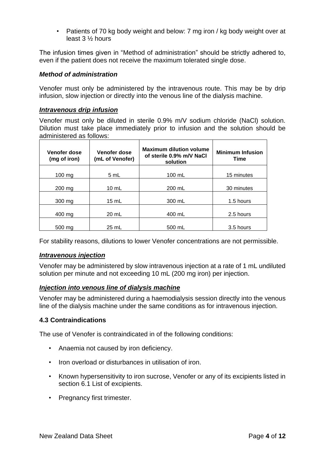• Patients of 70 kg body weight and below: 7 mg iron / kg body weight over at least 3 ½ hours

The infusion times given in ["Method of administration"](#page-3-0) should be strictly adhered to, even if the patient does not receive the maximum tolerated single dose.

### <span id="page-3-0"></span>*Method of administration*

Venofer must only be administered by the intravenous route. This may be by drip infusion, slow injection or directly into the venous line of the dialysis machine.

#### *Intravenous drip infusion*

Venofer must only be diluted in sterile 0.9% m/V sodium chloride (NaCl) solution. Dilution must take place immediately prior to infusion and the solution should be administered as follows:

| Venofer dose<br>(mg of iron) | Venofer dose<br>(mL of Venofer) | <b>Maximum dilution volume</b><br>of sterile 0.9% m/V NaCl<br>solution | <b>Minimum Infusion</b><br><b>Time</b> |
|------------------------------|---------------------------------|------------------------------------------------------------------------|----------------------------------------|
| $100 \text{ mg}$             | 5 mL                            | $100 \text{ mL}$                                                       | 15 minutes                             |
| 200 mg                       | $10 \text{ mL}$                 | 200 mL                                                                 | 30 minutes                             |
| $300 \text{ mg}$             | $15 \text{ mL}$                 | 300 mL                                                                 | 1.5 hours                              |
| 400 mg                       | 20 mL                           | 400 mL                                                                 | 2.5 hours                              |
| 500 mg                       | $25$ mL                         | 500 mL                                                                 | 3.5 hours                              |

For stability reasons, dilutions to lower Venofer concentrations are not permissible.

#### *Intravenous injection*

Venofer may be administered by slow intravenous injection at a rate of 1 mL undiluted solution per minute and not exceeding 10 mL (200 mg iron) per injection.

#### *Injection into venous line of dialysis machine*

Venofer may be administered during a haemodialysis session directly into the venous line of the dialysis machine under the same conditions as for intravenous injection.

#### **4.3 Contraindications**

The use of Venofer is contraindicated in of the following conditions:

- Anaemia not caused by iron deficiency.
- Iron overload or disturbances in utilisation of iron.
- Known hypersensitivity to iron sucrose, Venofer or any of its excipients listed in section [6.1](#page-10-0) [List of excipients.](#page-10-0)
- Pregnancy first trimester.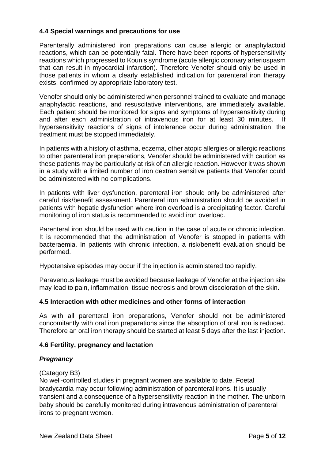## <span id="page-4-0"></span>**4.4 Special warnings and precautions for use**

Parenterally administered iron preparations can cause allergic or anaphylactoid reactions, which can be potentially fatal. There have been reports of hypersensitivity reactions which progressed to Kounis syndrome (acute allergic coronary arteriospasm that can result in myocardial infarction). Therefore Venofer should only be used in those patients in whom a clearly established indication for parenteral iron therapy exists, confirmed by appropriate laboratory test.

Venofer should only be administered when personnel trained to evaluate and manage anaphylactic reactions, and resuscitative interventions, are immediately available. Each patient should be monitored for signs and symptoms of hypersensitivity during and after each administration of intravenous iron for at least 30 minutes. If hypersensitivity reactions of signs of intolerance occur during administration, the treatment must be stopped immediately.

In patients with a history of asthma, eczema, other atopic allergies or allergic reactions to other parenteral iron preparations, Venofer should be administered with caution as these patients may be particularly at risk of an allergic reaction. However it was shown in a study with a limited number of iron dextran sensitive patients that Venofer could be administered with no complications.

In patients with liver dysfunction, parenteral iron should only be administered after careful risk/benefit assessment. Parenteral iron administration should be avoided in patients with hepatic dysfunction where iron overload is a precipitating factor. Careful monitoring of iron status is recommended to avoid iron overload.

Parenteral iron should be used with caution in the case of acute or chronic infection. It is recommended that the administration of Venofer is stopped in patients with bacteraemia. In patients with chronic infection, a risk/benefit evaluation should be performed.

Hypotensive episodes may occur if the injection is administered too rapidly.

Paravenous leakage must be avoided because leakage of Venofer at the injection site may lead to pain, inflammation, tissue necrosis and brown discoloration of the skin.

#### **4.5 Interaction with other medicines and other forms of interaction**

As with all parenteral iron preparations, Venofer should not be administered concomitantly with oral iron preparations since the absorption of oral iron is reduced. Therefore an oral iron therapy should be started at least 5 days after the last injection.

#### **4.6 Fertility, pregnancy and lactation**

#### *Pregnancy*

#### (Category B3)

No well-controlled studies in pregnant women are available to date. Foetal bradycardia may occur following administration of parenteral irons. It is usually transient and a consequence of a hypersensitivity reaction in the mother. The unborn baby should be carefully monitored during intravenous administration of parenteral irons to pregnant women.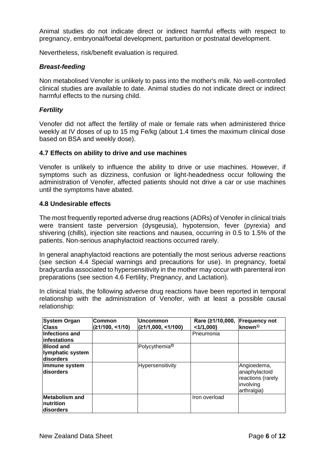Animal studies do not indicate direct or indirect harmful effects with respect to pregnancy, embryonal/foetal development, parturition or postnatal development.

Nevertheless, risk/benefit evaluation is required.

#### *Breast-feeding*

Non metabolised Venofer is unlikely to pass into the mother's milk. No well-controlled clinical studies are available to date. Animal studies do not indicate direct or indirect harmful effects to the nursing child.

#### *Fertility*

Venofer did not affect the fertility of male or female rats when administered thrice weekly at IV doses of up to 15 mg Fe/kg (about 1.4 times the maximum clinical dose based on BSA and weekly dose).

#### **4.7 Effects on ability to drive and use machines**

Venofer is unlikely to influence the ability to drive or use machines. However, if symptoms such as dizziness, confusion or light-headedness occur following the administration of Venofer, affected patients should not drive a car or use machines until the symptoms have abated.

#### **4.8 Undesirable effects**

The most frequently reported adverse drug reactions (ADRs) of Venofer in clinical trials were transient taste perversion (dysgeusia), hypotension, fever (pyrexia) and shivering (chills), injection site reactions and nausea, occurring in 0.5 to 1.5% of the patients. Non-serious anaphylactoid reactions occurred rarely.

In general anaphylactoid reactions are potentially the most serious adverse reactions (see section [4.4](#page-4-0) [Special warnings and precautions for use\)](#page-4-0). In pregnancy, foetal bradycardia associated to hypersensitivity in the mother may occur with parenteral iron preparations (see section 4.6 Fertility, Pregnancy, and Lactation).

In clinical trials, the following adverse drug reactions have been reported in temporal relationship with the administration of Venofer, with at least a possible causal relationship:

| <b>System Organ</b><br><b>Class</b>               | Common<br>(≥1/100, <1/10) | Uncommon<br>(≥1/1,000, <1/100) | Rare (≥1/10,000, Frequency not<br>$<$ 1/1,000) | known <sup>1)</sup>                                                           |
|---------------------------------------------------|---------------------------|--------------------------------|------------------------------------------------|-------------------------------------------------------------------------------|
| <b>Infections and</b><br>linfestations            |                           |                                | Pneumonia                                      |                                                                               |
| <b>Blood and</b><br>lymphatic system<br>disorders |                           | Polycythemia <sup>2)</sup>     |                                                |                                                                               |
| Immune system<br><b>disorders</b>                 |                           | Hypersensitivity               |                                                | Angioedema,<br>anaphylactoid<br>reactions (rarely<br>involving<br>arthralgia) |
| Metabolism and<br>Inutrition<br>ldisorders        |                           |                                | Iron overload                                  |                                                                               |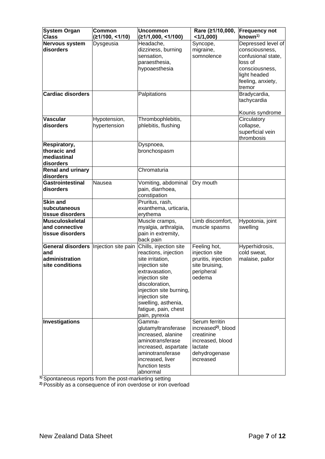| <b>System Organ</b><br><b>Class</b>                                                 | Common<br>(≥1/100, ≤1/10)    | <b>Uncommon</b><br>(≥1/1,000, ≤1/100)                                                                                                                                                                                                                   | Rare (≥1/10,000,<br>$<$ 1/1,000)                                                                                             | <b>Frequency not</b><br>$k$ nown <sup>1)</sup>                                                                                         |
|-------------------------------------------------------------------------------------|------------------------------|---------------------------------------------------------------------------------------------------------------------------------------------------------------------------------------------------------------------------------------------------------|------------------------------------------------------------------------------------------------------------------------------|----------------------------------------------------------------------------------------------------------------------------------------|
| Nervous system<br>disorders                                                         | Dysgeusia                    | Headache,<br>dizziness, burning<br>sensation,<br>paraesthesia,<br>hypoaesthesia                                                                                                                                                                         | Syncope,<br>migraine,<br>somnolence                                                                                          | Depressed level of<br>consciousness,<br>confusional state,<br>loss of<br>consciousness,<br>light headed<br>feeling, anxiety,<br>tremor |
| <b>Cardiac disorders</b>                                                            |                              | Palpitations                                                                                                                                                                                                                                            |                                                                                                                              | Bradycardia,<br>tachycardia<br>Kounis syndrome                                                                                         |
| <b>Vascular</b><br>disorders                                                        | Hypotension,<br>hypertension | Thrombophlebitis,<br>phlebitis, flushing                                                                                                                                                                                                                |                                                                                                                              | Circulatory<br>collapse,<br>superficial vein<br>thrombosis                                                                             |
| Respiratory,<br>thoracic and<br>mediastinal<br>disorders                            |                              | Dyspnoea,<br>bronchospasm                                                                                                                                                                                                                               |                                                                                                                              |                                                                                                                                        |
| <b>Renal and urinary</b><br>disorders                                               |                              | Chromaturia                                                                                                                                                                                                                                             |                                                                                                                              |                                                                                                                                        |
| <b>Gastrointestinal</b><br>disorders                                                | Nausea                       | Vomiting, abdominal<br>pain, diarrhoea,<br>constipation                                                                                                                                                                                                 | Dry mouth                                                                                                                    |                                                                                                                                        |
| <b>Skin and</b><br>subcutaneous<br>tissue disorders                                 |                              | Pruritus, rash,<br>exanthema, urticaria,<br>erythema                                                                                                                                                                                                    |                                                                                                                              |                                                                                                                                        |
| <b>Musculoskeletal</b><br>and connective<br>tissue disorders                        |                              | Muscle cramps,<br>myalgia, arthralgia,<br>pain in extremity,<br>back pain                                                                                                                                                                               | Limb discomfort,<br>muscle spasms                                                                                            | Hypotonia, joint<br>swelling                                                                                                           |
| General disorders   Injection site pain<br>and<br>administration<br>site conditions |                              | Chills, injection site<br>reactions, injection<br>site irritation,<br>injection site<br>extravasation,<br>injection site<br>discoloration,<br>injection site burning,<br>injection site<br>swelling, asthenia,<br>fatigue, pain, chest<br>pain, pyrexia | Feeling hot,<br>injection site<br>pruritis, injection<br>site bruising,<br>peripheral<br>oedema                              | Hyperhidrosis,<br>cold sweat,<br>malaise, pallor                                                                                       |
| Investigations                                                                      |                              | Gamma-<br>glutamyltransferase<br>increased, alanine<br>aminotransferase<br>increased, aspartate<br>aminotransferase<br>increased, liver<br>function tests<br>abnormal                                                                                   | Serum ferritin<br>increased <sup>2)</sup> , blood<br>creatinine<br>increased, blood<br>lactate<br>dehydrogenase<br>increased |                                                                                                                                        |

**1)** Spontaneous reports from the post-marketing setting

**2)** Possibly as a consequence of iron overdose or iron overload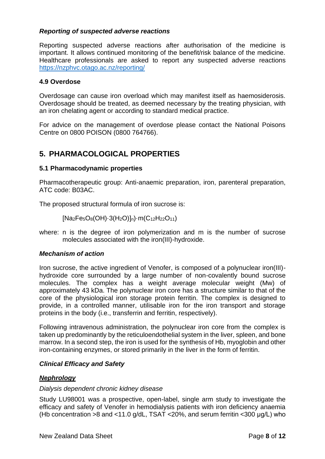#### *Reporting of suspected adverse reactions*

Reporting suspected adverse reactions after authorisation of the medicine is important. It allows continued monitoring of the benefit/risk balance of the medicine. Healthcare professionals are asked to report any suspected adverse reactions <https://nzphvc.otago.ac.nz/reporting/>

#### **4.9 Overdose**

Overdosage can cause iron overload which may manifest itself as haemosiderosis. Overdosage should be treated, as deemed necessary by the treating physician, with an iron chelating agent or according to standard medical practice.

For advice on the management of overdose please contact the National Poisons Centre on 0800 POISON (0800 764766).

## **5. PHARMACOLOGICAL PROPERTIES**

#### **5.1 Pharmacodynamic properties**

Pharmacotherapeutic group: Anti-anaemic preparation, iron, parenteral preparation, ATC code: B03AC.

The proposed structural formula of iron sucrose is:

[Na2Fe5O8(OH)·3(H2O)]n)·m(C12H22O11)

where: n is the degree of iron polymerization and m is the number of sucrose molecules associated with the iron(III)-hydroxide.

#### *Mechanism of action*

Iron sucrose, the active ingredient of Venofer, is composed of a polynuclear iron(III) hydroxide core surrounded by a large number of non-covalently bound sucrose molecules. The complex has a weight average molecular weight (Mw) of approximately 43 kDa. The polynuclear iron core has a structure similar to that of the core of the physiological iron storage protein ferritin. The complex is designed to provide, in a controlled manner, utilisable iron for the iron transport and storage proteins in the body (i.e., transferrin and ferritin, respectively).

Following intravenous administration, the polynuclear iron core from the complex is taken up predominantly by the reticuloendothelial system in the liver, spleen, and bone marrow. In a second step, the iron is used for the synthesis of Hb, myoglobin and other iron-containing enzymes, or stored primarily in the liver in the form of ferritin.

#### *Clinical Efficacy and Safety*

#### *Nephrology*

#### *Dialysis dependent chronic kidney disease*

Study LU98001 was a prospective, open-label, single arm study to investigate the efficacy and safety of Venofer in hemodialysis patients with iron deficiency anaemia (Hb concentration >8 and <11.0 g/dL, TSAT <20%, and serum ferritin <300 μg/L) who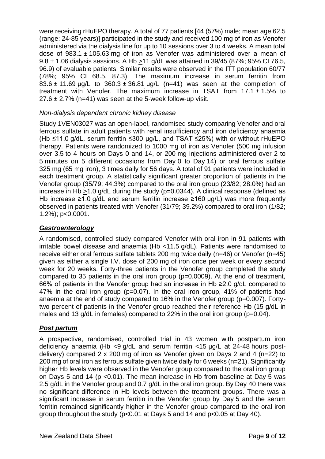were receiving rHuEPO therapy. A total of 77 patients [44 (57%) male; mean age 62.5 (range: 24-85 years)] participated in the study and received 100 mg of iron as Venofer administered via the dialysis line for up to 10 sessions over 3 to 4 weeks. A mean total dose of 983.1  $\pm$  105.63 mg of iron as Venofer was administered over a mean of 9.8 ± 1.06 dialysis sessions. A Hb >11 g/dL was attained in 39/45 (87%; 95% CI 76.5, 96.9) of evaluable patients. Similar results were observed in the ITT population 60/77 (78%; 95% CI 68.5, 87.3). The maximum increase in serum ferritin from  $83.6 \pm 11.69$  μg/L to  $360.3 \pm 36.81$  μg/L (n=41) was seen at the completion of treatment with Venofer. The maximum increase in TSAT from  $17.1 \pm 1.5\%$  to  $27.6 \pm 2.7\%$  (n=41) was seen at the 5-week follow-up visit.

## *Non-dialysis dependent chronic kidney disease*

Study 1VEN03027 was an open-label, randomised study comparing Venofer and oral ferrous sulfate in adult patients with renal insufficiency and iron deficiency anaemia (Hb ≤11.0 g/dL, serum ferritin ≤300 μg/L, and TSAT ≤25%) with or without rHuEPO therapy. Patients were randomized to 1000 mg of iron as Venofer (500 mg infusion over 3.5 to 4 hours on Days 0 and 14, or 200 mg injections administered over 2 to 5 minutes on 5 different occasions from Day 0 to Day 14) or oral ferrous sulfate 325 mg (65 mg iron), 3 times daily for 56 days. A total of 91 patients were included in each treatment group. A statistically significant greater proportion of patients in the Venofer group (35/79; 44.3%) compared to the oral iron group (23/82; 28.0%) had an increase in Hb  $>1.0$  g/dL during the study (p=0.0344). A clinical response (defined as Hb increase ≥1.0 g/dL and serum ferritin increase ≥160 µg/L) was more frequently observed in patients treated with Venofer (31/79; 39.2%) compared to oral iron (1/82; 1.2%); p<0.0001.

### *Gastroenterology*

A randomised, controlled study compared Venofer with oral iron in 91 patients with irritable bowel disease and anaemia (Hb <11.5 g/dL). Patients were randomised to receive either oral ferrous sulfate tablets 200 mg twice daily (n=46) or Venofer (n=45) given as either a single I.V. dose of 200 mg of iron once per week or every second week for 20 weeks. Forty-three patients in the Venofer group completed the study compared to 35 patients in the oral iron group  $(p=0.0009)$ . At the end of treatment, 66% of patients in the Venofer group had an increase in Hb ≥2.0 g/dL compared to 47% in the oral iron group (p=0.07). In the oral iron group, 41% of patients had anaemia at the end of study compared to 16% in the Venofer group (p=0.007). Fortytwo percent of patients in the Venofer group reached their reference Hb (15 g/dL in males and 13 g/dL in females) compared to 22% in the oral iron group (p=0.04).

#### *Post partum*

A prospective, randomised, controlled trial in 43 women with postpartum iron deficiency anaemia (Hb <9 g/dL and serum ferritin <15 μg/L at 24-48 hours postdelivery) compared 2 x 200 mg of iron as Venofer given on Days 2 and 4 (n=22) to 200 mg of oral iron as ferrous sulfate given twice daily for 6 weeks (n=21). Significantly higher Hb levels were observed in the Venofer group compared to the oral iron group on Days 5 and 14 (p <0.01). The mean increase in Hb from baseline at Day 5 was 2.5 g/dL in the Venofer group and 0.7 g/dL in the oral iron group. By Day 40 there was no significant difference in Hb levels between the treatment groups. There was a significant increase in serum ferritin in the Venofer group by Day 5 and the serum ferritin remained significantly higher in the Venofer group compared to the oral iron group throughout the study (p<0.01 at Days 5 and 14 and p<0.05 at Day 40).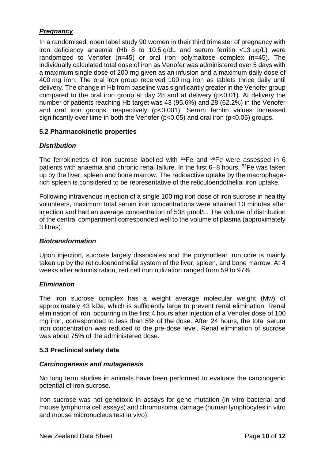## *Pregnancy*

In a randomised, open label study 90 women in their third trimester of pregnancy with iron deficiency anaemia (Hb 8 to 10.5  $q/dL$  and serum ferritin <13  $\mu q/L$ ) were randomized to Venofer (n=45) or oral iron polymaltose complex (n=45). The individually calculated total dose of iron as Venofer was administered over 5 days with a maximum single dose of 200 mg given as an infusion and a maximum daily dose of 400 mg iron. The oral iron group received 100 mg iron as tablets thrice daily until delivery. The change in Hb from baseline was significantly greater in the Venofer group compared to the oral iron group at day 28 and at delivery (p<0.01). At delivery the number of patients reaching Hb target was 43 (95.6%) and 28 (62.2%) in the Venofer and oral iron groups, respectively (p<0.001). Serum ferritin values increased significantly over time in both the Venofer (p<0.05) and oral iron (p<0.05) groups.

## **5.2 Pharmacokinetic properties**

## *Distribution*

The ferrokinetics of iron sucrose labelled with <sup>52</sup>Fe and <sup>59</sup>Fe were assessed in 6 patients with anaemia and chronic renal failure. In the first 6–8 hours, <sup>52</sup>Fe was taken up by the liver, spleen and bone marrow. The radioactive uptake by the macrophagerich spleen is considered to be representative of the reticuloendothelial iron uptake.

Following intravenous injection of a single 100 mg iron dose of iron sucrose in healthy volunteers, maximum total serum iron concentrations were attained 10 minutes after injection and had an average concentration of 538  $\mu$ mol/L. The volume of distribution of the central compartment corresponded well to the volume of plasma (approximately 3 litres).

#### *Biotransformation*

Upon injection, sucrose largely dissociates and the polynuclear iron core is mainly taken up by the reticuloendothelial system of the liver, spleen, and bone marrow. At 4 weeks after administration, red cell iron utilization ranged from 59 to 97%.

#### *Elimination*

The iron sucrose complex has a weight average molecular weight (Mw) of approximately 43 kDa, which is sufficiently large to prevent renal elimination. Renal elimination of iron, occurring in the first 4 hours after injection of a Venofer dose of 100 mg iron, corresponded to less than 5% of the dose. After 24 hours, the total serum iron concentration was reduced to the pre-dose level. Renal elimination of sucrose was about 75% of the administered dose.

#### **5.3 Preclinical safety data**

#### *Carcinogenesis and mutagenesis*

No long term studies in animals have been performed to evaluate the carcinogenic potential of iron sucrose.

Iron sucrose was not genotoxic in assays for gene mutation (in vitro bacterial and mouse lymphoma cell assays) and chromosomal damage (human lymphocytes in vitro and mouse micronucleus test in vivo).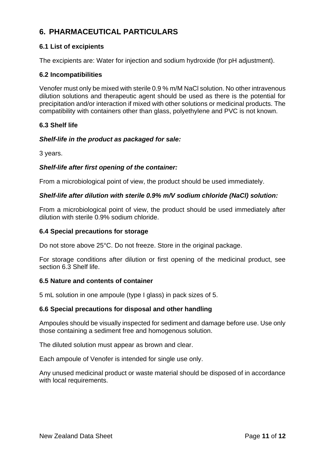# **6. PHARMACEUTICAL PARTICULARS**

## <span id="page-10-0"></span>**6.1 List of excipients**

The excipients are: Water for injection and sodium hydroxide (for pH adjustment).

## **6.2 Incompatibilities**

Venofer must only be mixed with sterile 0.9 % m/M NaCl solution. No other intravenous dilution solutions and therapeutic agent should be used as there is the potential for precipitation and/or interaction if mixed with other solutions or medicinal products. The compatibility with containers other than glass, polyethylene and PVC is not known.

## <span id="page-10-1"></span>**6.3 Shelf life**

## *Shelf-life in the product as packaged for sale:*

3 years.

## *Shelf-life after first opening of the container:*

From a microbiological point of view, the product should be used immediately.

#### *Shelf-life after dilution with sterile 0.9% m/V sodium chloride (NaCl) solution:*

From a microbiological point of view, the product should be used immediately after dilution with sterile 0.9% sodium chloride.

#### **6.4 Special precautions for storage**

Do not store above 25°C. Do not freeze. Store in the original package.

For storage conditions after dilution or first opening of the medicinal product, see section [6.3](#page-10-1) [Shelf life.](#page-10-1)

#### **6.5 Nature and contents of container**

5 mL solution in one ampoule (type I glass) in pack sizes of 5.

#### **6.6 Special precautions for disposal and other handling**

Ampoules should be visually inspected for sediment and damage before use. Use only those containing a sediment free and homogenous solution.

The diluted solution must appear as brown and clear.

Each ampoule of Venofer is intended for single use only.

Any unused medicinal product or waste material should be disposed of in accordance with local requirements.